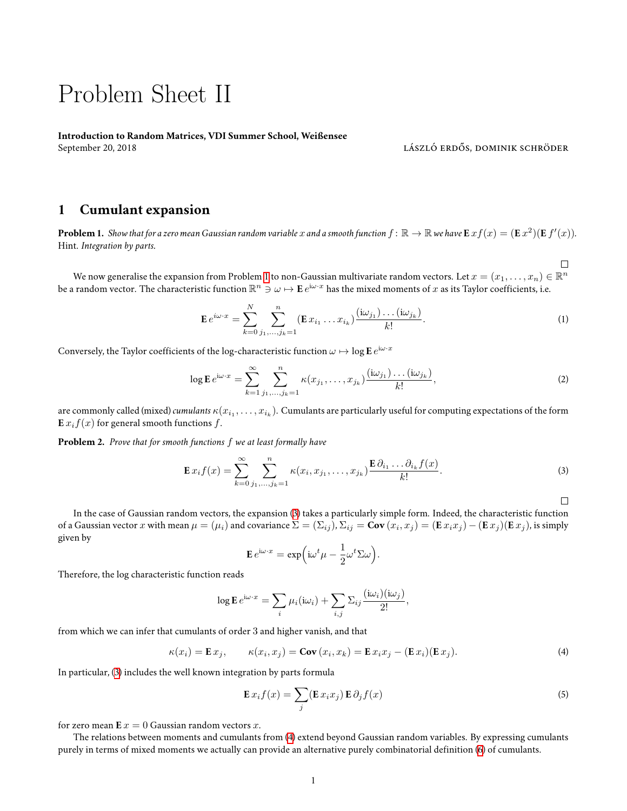## Problem Sheet II

**Introduction to Random Matrices, VDI Summer School, Weißensee** September 20, 2018 **lászló erdős, dominik schröder** képtember 20, 2018 **lászló erdős, dominik schröder** 

## **1 Cumulant expansion**

<span id="page-0-0"></span>**Problem 1.** Show that for a zero mean Gaussian random variable  $x$  and a smooth function  $f\colon\mathbb{R}\to\mathbb{R}$  we have  ${\tt E} \,xf(x)=({\tt E}\,x^2)({\tt E}\,f'(x)).$ Hint. *Integration by parts.*

We now generalise the expansion from Problem [1](#page-0-0) to non-Gaussian multivariate random vectors. Let  $x=(x_1,\ldots,x_n)\in\mathbb{R}^n$ be a random vector. The characteristic function  $\R^n\ni\omega\mapsto \mathbf{E}\,e^{\mathrm{i}\omega\cdot x}$  has the mixed moments of  $x$  as its Taylor coefficients, i.e.

$$
\mathbf{E} e^{i\omega \cdot x} = \sum_{k=0}^{N} \sum_{j_1, \dots, j_k=1}^{n} (\mathbf{E} x_{i_1} \dots x_{i_k}) \frac{(i\omega_{j_1}) \dots (i\omega_{j_k})}{k!}.
$$
 (1)

Conversely, the Taylor coefficients of the log-characteristic function  $\omega \mapsto \log \mathbf{E} \, e^{\mathrm{i} \omega \cdot x}$ 

$$
\log \mathbf{E} \, e^{i\omega \cdot x} = \sum_{k=1}^{\infty} \sum_{j_1, \dots, j_k=1}^{n} \kappa(x_{j_1}, \dots, x_{j_k}) \frac{(\mathrm{i}\omega_{j_1}) \dots (\mathrm{i}\omega_{j_k})}{k!},\tag{2}
$$

are commonly called (mixed) *cumulants*  $\kappa(x_{i_1},\ldots,x_{i_k})$ . Cumulants are particularly useful for computing expectations of the form  $\mathbf{E} x_i f(x)$  for general smooth functions  $f$ .

**Problem 2.** *Prove that for smooth functions f we at least formally have*

$$
\mathbf{E}\,x_i f(x) = \sum_{k=0}^{\infty} \sum_{j_1,\dots,j_k=1}^n \kappa(x_i, x_{j_1},\dots,x_{j_k}) \frac{\mathbf{E}\,\partial_{i_1}\dots\partial_{i_k} f(x)}{k!}.
$$
 (3)

 $\Box$ 

<span id="page-0-4"></span><span id="page-0-3"></span> $\Box$ 

In the case of Gaussian random vectors, the expansion([3\)](#page-0-1) takes a particularly simple form. Indeed, the characteristic function of a Gaussian vector  $x$  with mean  $\mu=(\mu_i)$  and covariance  $\Sigma=(\Sigma_{ij}),\Sigma_{ij}={\bf Cov}\,(x_i,x_j)={\bf (E}\,x_ix_j)-{\bf (E}\,x_j) {\bf (E}\,x_j)$ , is simply given by

<span id="page-0-1"></span>
$$
\mathbf{E} e^{\mathrm{i}\omega \cdot x} = \exp\Bigl(\mathrm{i}\omega^t \mu - \frac{1}{2} \omega^t \Sigma \omega\Bigr).
$$

Therefore, the log characteristic function reads

$$
\log \mathbf{E} e^{\mathrm{i}\omega \cdot x} = \sum_{i} \mu_i(\mathrm{i}\omega_i) + \sum_{i,j} \sum_{ij} \frac{(\mathrm{i}\omega_i)(\mathrm{i}\omega_j)}{2!},
$$

from which we can infer that cumulants of order 3 and higher vanish, and that

$$
\kappa(x_i) = \mathbf{E} x_j, \qquad \kappa(x_i, x_j) = \mathbf{Cov}(x_i, x_k) = \mathbf{E} x_i x_j - (\mathbf{E} x_i)(\mathbf{E} x_j).
$$
 (4)

In particular,([3\)](#page-0-1) includes the well known integration by parts formula

<span id="page-0-5"></span><span id="page-0-2"></span>
$$
\mathbf{E}\,x_i f(x) = \sum_j (\mathbf{E}\,x_i x_j) \,\mathbf{E}\,\partial_j f(x) \tag{5}
$$

for zero mean  $E x = 0$  Gaussian random vectors *x*.

The relations between moments and cumulants from [\(4\)](#page-0-2) extend beyond Gaussian random variables. By expressing cumulants purely in terms of mixed moments we actually can provide an alternative purely combinatorial definition([6\)](#page-1-0) of cumulants.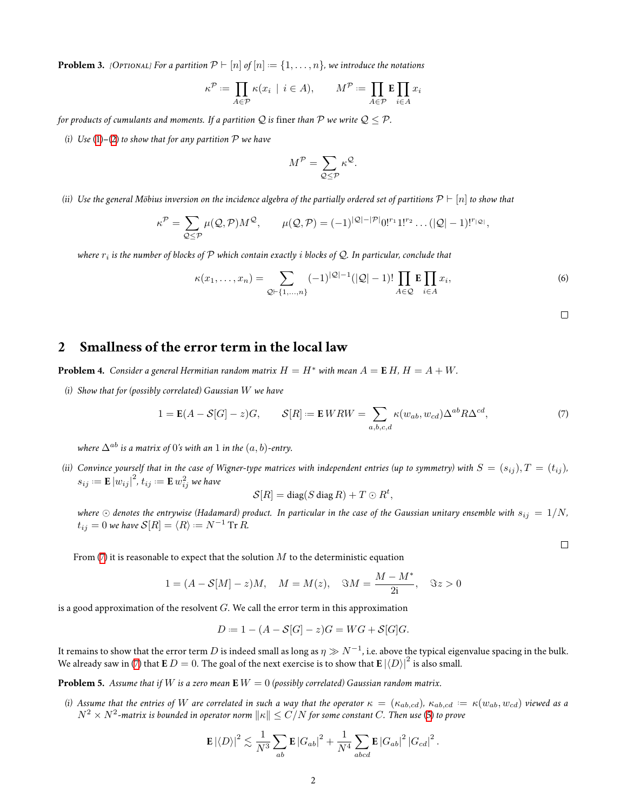**Problem 3.** *[Optional] For a partition*  $\mathcal{P} ⊢ [n]$  *of*  $[n] := \{1, \ldots, n\}$ *, we introduce the notations* 

$$
\kappa^{\mathcal{P}} := \prod_{A \in \mathcal{P}} \kappa(x_i \mid i \in A), \qquad M^{\mathcal{P}} := \prod_{A \in \mathcal{P}} \mathbf{E} \prod_{i \in A} x_i
$$

*for products of cumulants and moments. If a partition*  $Q$  *is finer than*  $P$  *we write*  $Q \leq P$ *.* 

*(i) Use* [\(1](#page-0-3))*–*([2\)](#page-0-4) *to show that for any partition P we have*

$$
M^{\mathcal{P}} = \sum_{\mathcal{Q} \leq \mathcal{P}} \kappa^{\mathcal{Q}}.
$$

*(ii) Use the general Möbius inversion on the incidence algebra of the partially ordered set of partitions P ⊢* [*n*] *to show that*

$$
\kappa^{\mathcal{P}} = \sum_{\mathcal{Q} \leq \mathcal{P}} \mu(\mathcal{Q}, \mathcal{P}) M^{\mathcal{Q}}, \qquad \mu(\mathcal{Q}, \mathcal{P}) = (-1)^{|\mathcal{Q}| - |\mathcal{P}|} 0!^{r_1} 1!^{r_2} \dots (|\mathcal{Q}| - 1)!^{r_{|\mathcal{Q}|}},
$$

*where r<sup>i</sup> is the number of blocks of P which contain exactly i blocks of Q. In particular, conclude that*

$$
\kappa(x_1, \dots, x_n) = \sum_{\mathcal{Q} \vdash \{1, \dots, n\}} (-1)^{|\mathcal{Q}|-1} (|\mathcal{Q}|-1)! \prod_{A \in \mathcal{Q}} \mathbf{E} \prod_{i \in A} x_i,
$$
\n(6)

<span id="page-1-0"></span> $\Box$ 

## **2 Smallness of the error term in the local law**

**Problem 4.** *Consider a general Hermitian random matrix*  $H = H^*$  *with mean*  $A = E H$ ,  $H = A + W$ .

*(i) Show that for (possibly correlated) Gaussian W we have*

$$
1 = \mathbf{E}(A - S[G] - z)G, \qquad S[R] := \mathbf{E} WRW = \sum_{a,b,c,d} \kappa(w_{ab}, w_{cd}) \Delta^{ab} R \Delta^{cd}, \tag{7}
$$

*where*  $\Delta^{ab}$  *is a matrix of* 0*'s with an* 1 *in the*  $(a, b)$ *-entry.* 

*(ii)* Convince yourself that in the case of Wigner-type matrices with independent entries (up to symmetry) with  $S = (s_{ij})$ ,  $T = (t_{ij})$ ,  $s_{ij} \coloneqq \mathbf{E} \left| w_{ij} \right|^2 \!, t_{ij} \coloneqq \mathbf{E} \, w_{ij}^2$  we have

<span id="page-1-1"></span>
$$
\mathcal{S}[R]=\text{diag}(S\,\text{diag}\,R)+T\odot R^t,
$$

*where*  $\odot$  *denotes the entrywise* (Hadamard) product. In particular in the case of the Gaussian unitary ensemble with  $s_{ij} = 1/N$ ,  $t_{ij} = 0$  we have  $\mathcal{S}[R] = \langle R \rangle := N^{-1} \operatorname{Tr} R$ .

 $\Box$ 

From([7](#page-1-1)) it is reasonable to expect that the solution *M* to the deterministic equation

$$
1 = (A - S[M] - z)M, \quad M = M(z), \quad \Im M = \frac{M - M^*}{2i}, \quad \Im z > 0
$$

is a good approximation of the resolvent *G*. We call the error term in this approximation

$$
D = 1 - (A - S[G] - z)G = WG + S[G]G.
$$

It remains to show that the error term  $D$  is indeed small as long as  $\eta\gg N^{-1}$ , i.e. above the typical eigenvalue spacing in the bulk. Wealready saw in ([7\)](#page-1-1) that  $\mathbf{E} D = 0$ . The goal of the next exercise is to show that  $\mathbf{E} |\langle D \rangle|^2$  is also small.

**Problem 5.** *Assume that if W is a zero mean* **E** *W* = 0 *(possibly correlated) Gaussian random matrix.*

(i) Assume that the entries of  $W$  are correlated in such a way that the operator  $\kappa=(\kappa_{ab,cd}),\,\kappa_{ab,cd}:=\kappa(w_{ab},w_{cd})$  viewed as a *N*<sup>2</sup> *× N*<sup>2</sup> *-matrix is bounded in operator norm ∥κ∥ ≤ C*/*N for some constant C. Then use* ([5](#page-0-5)) *to prove*

$$
\mathbf{E} |\langle D \rangle|^2 \lesssim \frac{1}{N^3} \sum_{ab} \mathbf{E} |G_{ab}|^2 + \frac{1}{N^4} \sum_{abcd} \mathbf{E} |G_{ab}|^2 |G_{cd}|^2.
$$